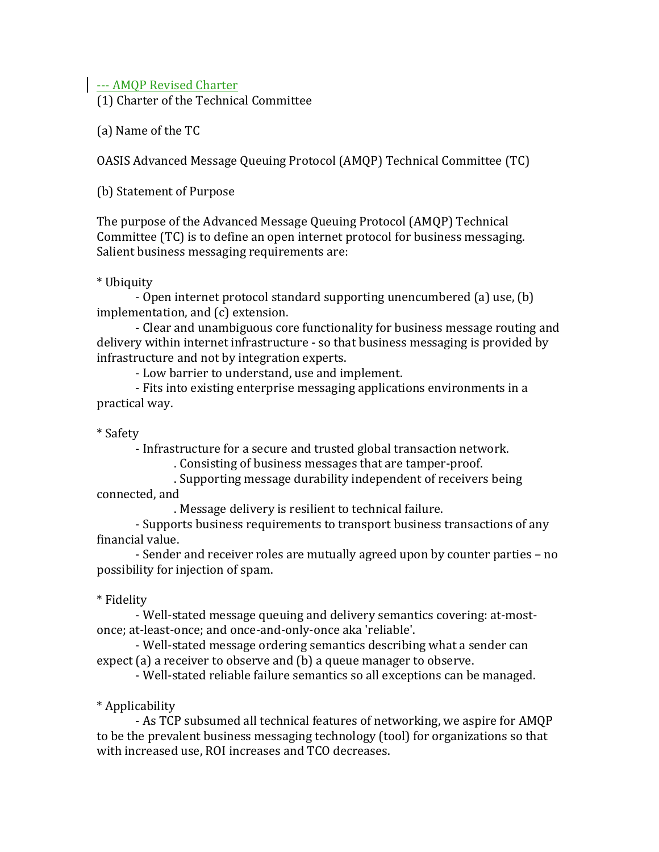| --- AMQP Revised Charter

(1) Charter of the Technical Committee

(a) Name of the TC

OASIS Advanced Message Queuing Protocol (AMQP) Technical Committee (TC)

(b) Statement of Purpose

The purpose of the Advanced Message Queuing Protocol (AMQP) Technical Committee (TC) is to define an open internet protocol for business messaging. Salient business messaging requirements are:

\* Ubiquity

- Open internet protocol standard supporting unencumbered (a) use, (b) implementation, and (c) extension.

- Clear and unambiguous core functionality for business message routing and delivery within internet infrastructure - so that business messaging is provided by infrastructure and not by integration experts.

- Low barrier to understand, use and implement.

- Fits into existing enterprise messaging applications environments in a practical way.

\* Safety

- Infrastructure for a secure and trusted global transaction network.

. Consisting of business messages that are tamper-proof.

. Supporting message durability independent of receivers being connected,"and

. Message delivery is resilient to technical failure.

- Supports business requirements to transport business transactions of any financial value.

- Sender and receiver roles are mutually agreed upon by counter parties – no" possibility for injection of spam.

# \* Fidelity

- Well-stated message queuing and delivery semantics covering: at-mostonce; at-least-once; and once-and-only-once aka 'reliable'.

- Well-stated message ordering semantics describing what a sender can expect (a) a receiver to observe and (b) a queue manager to observe.

- Well-stated reliable failure semantics so all exceptions can be managed.

# \* Applicability

- As TCP subsumed all technical features of networking, we aspire for AMQP to be the prevalent business messaging technology (tool) for organizations so that with increased use, ROI increases and TCO decreases.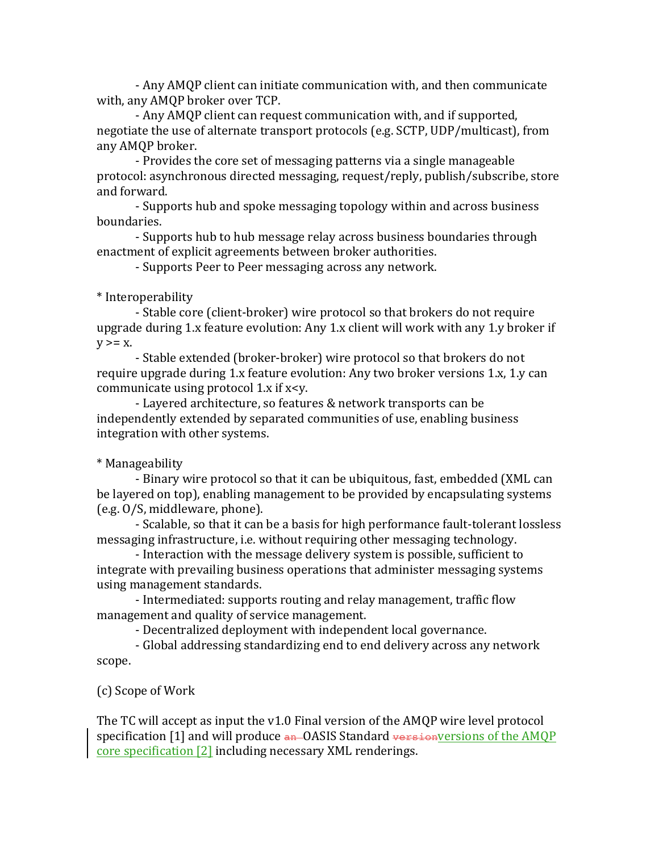- Any AMQP client can initiate communication with, and then communicate with, any AMQP broker over TCP.

- Any AMQP client can request communication with, and if supported, negotiate the use of alternate transport protocols (e.g. SCTP, UDP/multicast), from any AMQP broker.

- Provides the core set of messaging patterns via a single manageable protocol: asynchronous directed messaging, request/reply, publish/subscribe, store and forward.

- Supports hub and spoke messaging topology within and across business boundaries.

- Supports hub to hub message relay across business boundaries through enactment of explicit agreements between broker authorities.

- Supports Peer to Peer messaging across any network.

#### \* Interoperability

- Stable core (client-broker) wire protocol so that brokers do not require upgrade during 1.x feature evolution: Any 1.x client will work with any 1.y broker if  $y>=x.$ 

- Stable extended (broker-broker) wire protocol so that brokers do not require upgrade during 1.x feature evolution: Any two broker versions 1.x, 1.y can communicate using protocol  $1.x$  if  $x \leq y$ .

- Lavered architecture, so features & network transports can be independently extended by separated communities of use, enabling business integration with other systems.

### \* Manageability

- Binary wire protocol so that it can be ubiquitous, fast, embedded (XML can be layered on top), enabling management to be provided by encapsulating systems (e.g. 0/S, middleware, phone).

- Scalable, so that it can be a basis for high performance fault-tolerant lossless messaging infrastructure, i.e. without requiring other messaging technology.

- Interaction with the message delivery system is possible, sufficient to integrate with prevailing business operations that administer messaging systems using management standards.

- Intermediated: supports routing and relay management, traffic flow management and quality of service management.

- Decentralized deployment with independent local governance.

- Global addressing standardizing end to end delivery across any network scope.

#### (c) Scope of Work

The TC will accept as input the  $v1.0$  Final version of the AMQP wire level protocol specification [1] and will produce an OASIS Standard versionversions of the AMQP core specification [2] including necessary XML renderings.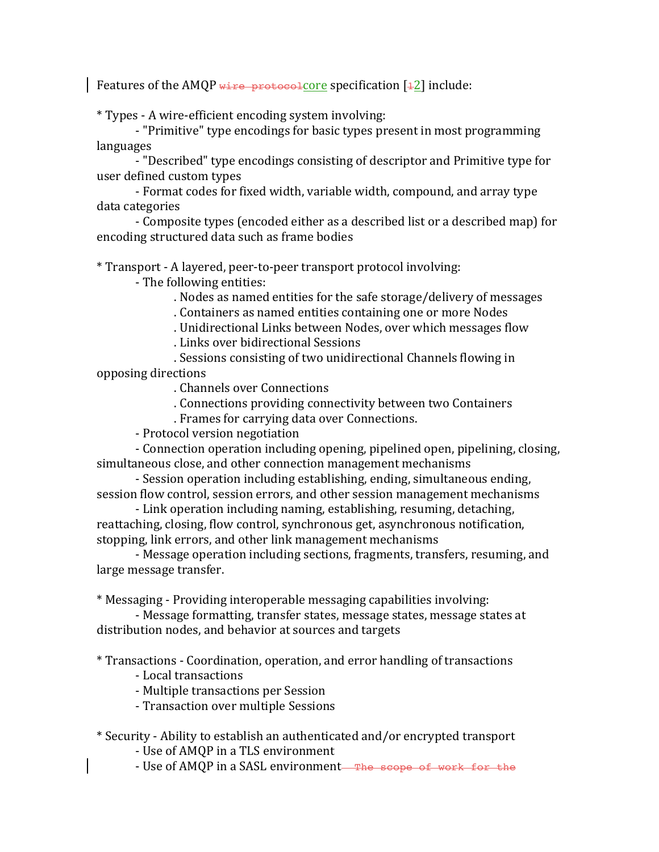Features of the AMQP wire protocolcore specification  $[12]$  include:

\* Types - A wire-efficient encoding system involving:

- "Primitive" type encodings for basic types present in most programming languages

- "Described" type encodings consisting of descriptor and Primitive type for user defined custom types

- Format codes for fixed width, variable width, compound, and array type data categories

- Composite types (encoded either as a described list or a described map) for encoding structured data such as frame bodies

\* Transport - A layered, peer-to-peer transport protocol involving:

- The following entities:

. Nodes as named entities for the safe storage/delivery of messages

. Containers as named entities containing one or more Nodes

. Unidirectional Links between Nodes, over which messages flow

. Links over bidirectional Sessions

. Sessions consisting of two unidirectional Channels flowing in opposing directions

. Channels over Connections

. Connections providing connectivity between two Containers

. Frames for carrying data over Connections.

- Protocol version negotiation

. Connection operation including opening, pipelined open, pipelining, closing, simultaneous close, and other connection management mechanisms

- Session operation including establishing, ending, simultaneous ending, session flow control, session errors, and other session management mechanisms

- Link operation including naming, establishing, resuming, detaching, reattaching, closing, flow control, synchronous get, asynchronous notification, stopping, link errors, and other link management mechanisms

- Message operation including sections, fragments, transfers, resuming, and large message transfer.

\* Messaging - Providing interoperable messaging capabilities involving:

- Message formatting, transfer states, message states, message states at distribution nodes, and behavior at sources and targets

\* Transactions - Coordination, operation, and error handling of transactions

- Local transactions

- Multiple transactions per Session

- Transaction over multiple Sessions

\* Security - Ability to establish an authenticated and/or encrypted transport

- Use of AMQP in a TLS environment

- Use of AMQP in a SASL environment—The scope of work for the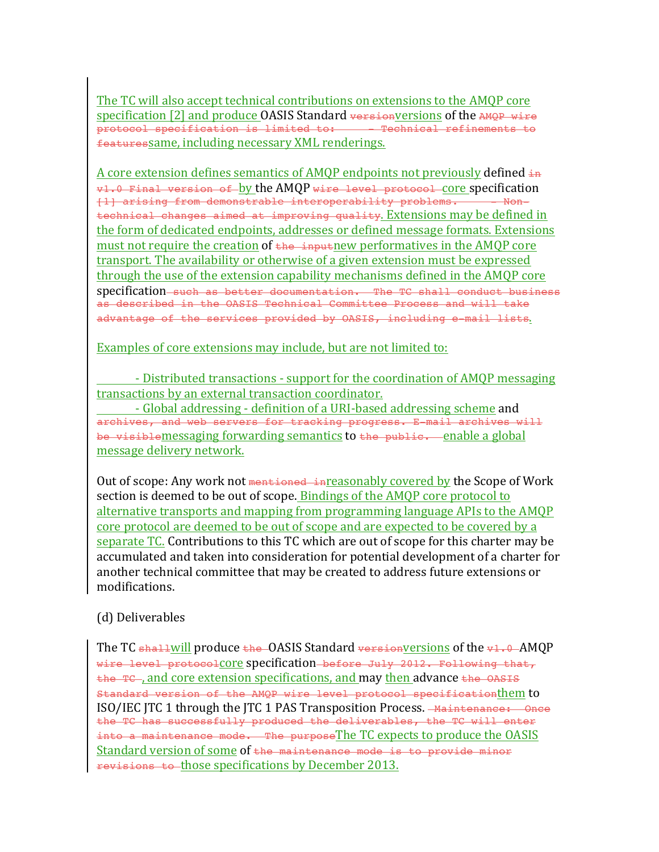The TC will also accept technical contributions on extensions to the AMQP core specification [2] and produce OASIS Standard versionversions of the AMOP wire protocol specification is limited to: - - Technical refinements to featuressame, including necessary XML renderings.

A core extension defines semantics of AMOP endpoints not previously defined  $\pm n$ v1.0 Final version of by the AMQP wire level protocol core specification<br>(1) arising from demonstrable interoperability problems. - - Non-[1] arising from demonstrable interoperability problems.  $t$ echnical changes aimed at improving quality. Extensions may be defined in the form of dedicated endpoints, addresses or defined message formats. Extensions must not require the creation of  $\overline{t}$  the inputnew performatives in the AMQP core transport. The availability or otherwise of a given extension must be expressed through the use of the extension capability mechanisms defined in the AMOP core specification such as better documentation. The TC shall conduct business as described in the OASIS Technical Committee Process and will take advantage of the services provided by OASIS, including e-mail lists.

Examples of core extensions may include, but are not limited to:

- Distributed transactions - support for the coordination of AMQP messaging transactions by an external transaction coordinator.

- Global addressing - definition of a URI-based addressing scheme and archives, and web servers for tracking progress. E-mail archives will be visiblemessaging forwarding semantics to the public. enable a global message delivery network.

Out of scope: Any work not <del>mentioned in</del>reasonably covered by the Scope of Work" section is deemed to be out of scope. Bindings of the AMQP core protocol to alternative transports and mapping from programming language APIs to the AMQP core protocol are deemed to be out of scope and are expected to be covered by a separate  $TC$ . Contributions to this  $TC$  which are out of scope for this charter may be accumulated and taken into consideration for potential development of a charter for another technical committee that may be created to address future extensions or modifications.

#### (d) Deliverables

The TC  $\frac{1}{\sqrt{2}}$  shallwill produce  $\frac{1}{\sqrt{2}}$  standard versionversions of the v1.0 AMQP wire level protocolCOTe Specification before July 2012. Following that,  $t$  the TC , and core extension specifications, and may then advance  $t$  he OASIS Standard version of the AMOP wire level protocol specificationthem to ISO/IEC ITC 1 through the ITC 1 PAS Transposition Process. <del>Maintenance: Once</del> the TC has successfully produced the deliverables, the TC will enter  $i$ nto a maintenance mode. The purposeThe TC expects to produce the OASIS Standard version of some of the maintenance mode is to provide minor revisions to those specifications by December 2013.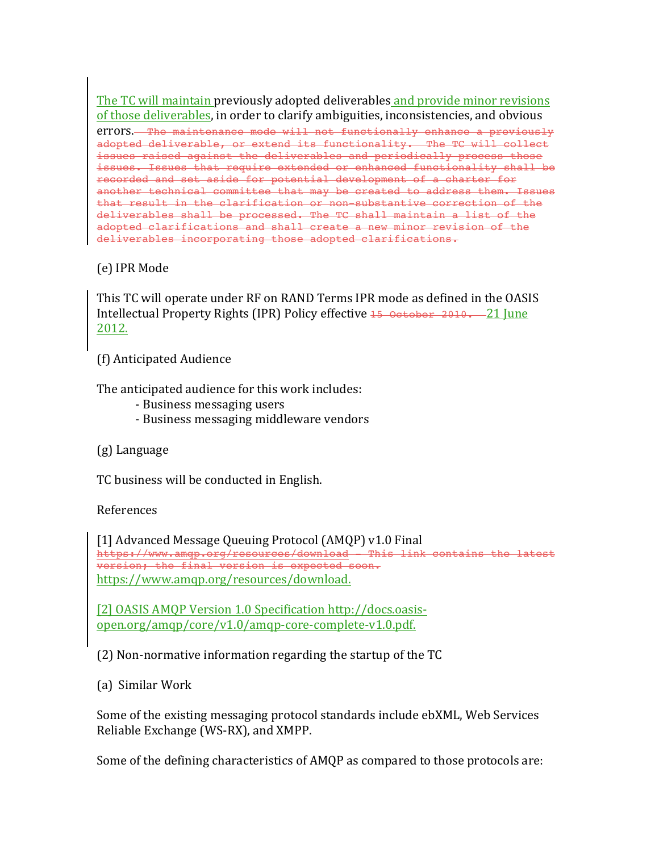The TC will maintain previously adopted deliverables and provide minor revisions of those deliverables, in order to clarify ambiguities, inconsistencies, and obvious errors. The maintenance mode will not functionally enhance a previously adopted deliverable, or extend its functionality. The TC will collect issues raised against the deliverables and periodically process those issues. Issues that require extended or enhanced functionality shall be recorded and set aside for potential development of a charter for another technical committee that may be created to address them. Issues that result in the clarification or non-substantive correction of the deliverables shall be processed. The TC shall maintain a list of the adopted clarifications and shall create a new minor revision of the deliverables incorporating those adopted clarifications.

# (e) IPR Mode

This TC will operate under RF on RAND Terms IPR mode as defined in the OASIS Intellectual Property Rights (IPR) Policy effective 15 October 2010. 21 June 2012.

(f) Anticipated Audience

The anticipated audience for this work includes:

- Business messaging users
- Business messaging middleware vendors

(g) Language

TC business will be conducted in English.

References

[1] Advanced Message Queuing Protocol (AMQP) v1.0 Final https://www.amqp.org/resources/download - This link contains the latest version; the final version is expected soon. https://www.amqp.org/resources/download.

[2] OASIS AMQP Version 1.0 Specification http://docs.oasisopen.org/amqp/core/v1.0/amqp-core-complete-v1.0.pdf.

 $(2)$  Non-normative information regarding the startup of the TC

(a) Similar Work

Some of the existing messaging protocol standards include ebXML, Web Services Reliable Exchange (WS-RX), and XMPP.

Some of the defining characteristics of AMQP as compared to those protocols are: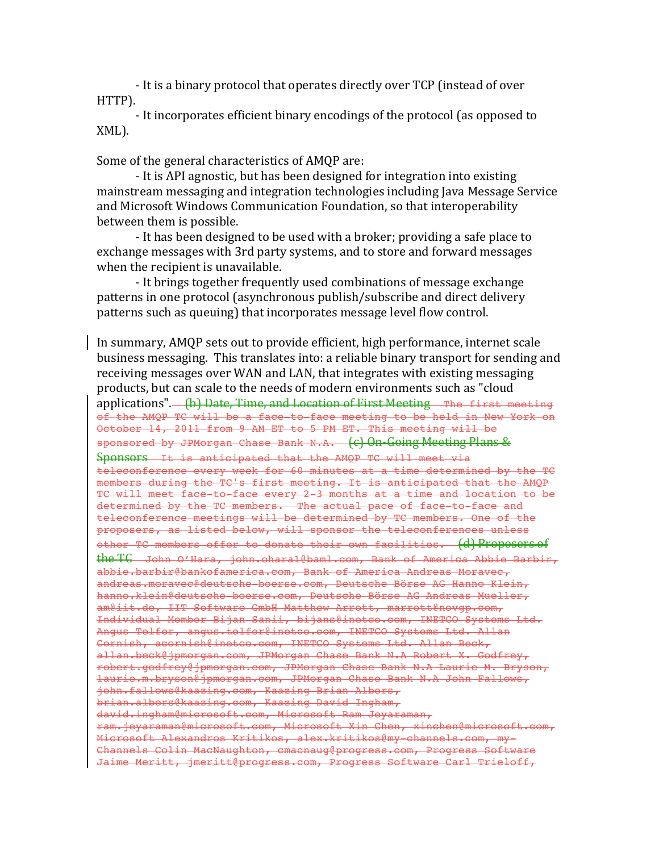- It is a binary protocol that operates directly over TCP (instead of over" HTTP).

- It incorporates efficient binary encodings of the protocol (as opposed to XML).

Some of the general characteristics of AMOP are:

- It is API agnostic, but has been designed for integration into existing mainstream messaging and integration technologies including Java Message Service and Microsoft Windows Communication Foundation, so that interoperability between them is possible.

- It has been designed to be used with a broker; providing a safe place to exchange messages with 3rd party systems, and to store and forward messages when the recipient is unavailable.

- It brings together frequently used combinations of message exchange patterns in one protocol (asynchronous publish/subscribe and direct delivery patterns such as queuing) that incorporates message level flow control.

In summary, AMQP sets out to provide efficient, high performance, internet scale business messaging. This translates into: a reliable binary transport for sending and receiving messages over WAN and LAN, that integrates with existing messaging products, but can scale to the needs of modern environments such as "cloud" applications". (b) Date, Time, and Location of First Meeting The first meeting of the AMQP TC will be a face-to-face meeting to be held in New York on October 14, 2011 from 9 AM ET to 5 PM ET. This meeting will be sponsored by JPMorgan Chase Bank N.A. (c) On-Going Meeting Plans & Sponsors It is anticipated that the AMOP TC will meet via teleconference every week for 60 minutes at a time determined by the TC members during the TC's first meeting. It is anticipated that the AMQP TC will meet face-to-face every 2-3 months at a time and location to be determined by the TC members. The actual pace of face-to-face and teleconference meetings will be determined by TC members. One of the proposers, as listed below, will sponsor the teleconferences unless other TC members offer to donate their own facilities. (d) Proposers of the"TC John O'Hara, john.ohara1@baml.com, Bank of America Abbie Barbir, abbie.barbir@bankofamerica.com, Bank of America Andreas Moravec, andreas.moravec@deutsche-boerse.com, Deutsche Börse AG Hanno Klein, hanno.klein@deutsche-boerse.com, Deutsche Börse AG Andreas Mueller, am@iit.de, IIT Software GmbH Matthew Arrott, marrott@novgp.com, Individual Member Bijan Sanii, bijans@inetco.com, INETCO Systems Ltd. Angus Telfer, angus.telfer@inetco.com, INETCO Systems Ltd. Allan Cornish, acornish@inetco.com, INETCO Systems Ltd. Allan Beck, allan.beck@jpmorgan.com, JPMorgan Chase Bank N.A Robert X. Godfrey, robert.godfrey@jpmorgan.com, JPMorgan Chase Bank N.A Laurie M. Bryson, laurie.m.bryson@jpmorgan.com, JPMorgan Chase Bank N.A John Fallows, john.fallows@kaazing.com, Kaazing Brian Albers, brian.albers@kaazing.com, Kaazing David Ingham, david.ingham@microsoft.com, Microsoft Ram Jeyaraman, ram.jeyaraman@microsoft.com, Microsoft Xin Chen, xinchen@microsoft.com, Microsoft Alexandros Kritikos, alex.kritikos@my-channels.com, my-Channels Colin MacNaughton, cmacnaug@progress.com, Progress Software Jaime Meritt, imeritt@progress.com, Progress Software Carl Trieloff,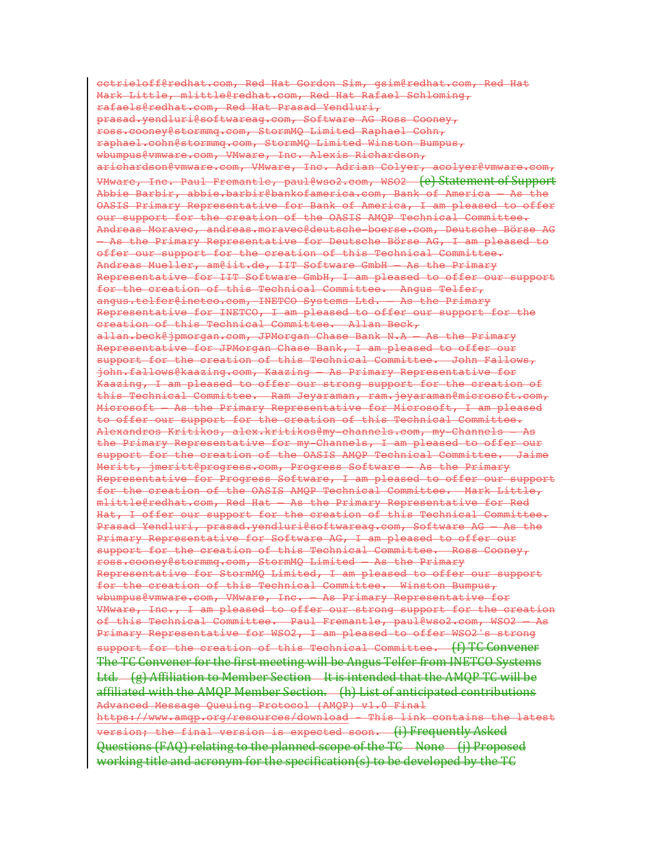cctrieloff@redhat.com, Red Hat Gordon Sim, gsim@redhat.com, Red Hat Mark Little, mlittle@redhat.com, Red Hat Rafael Schloming, rafaels@redhat.com, Red Hat Prasad Yendluri, prasad.yendluri@softwareag.com, Software AG Ross Cooney, ross.cooney@stormmq.com, StormMQ Limited Raphael Cohn, raphael.cohn@stormmq.com, StormMQ Limited Winston Bumpus, wbumpus@vmware.com, VMware, Inc. Alexis Richardson, arichardson@vmware.com, VMware, Inc. Adrian Colyer, acolyer@vmware.com, VMware, Inc. Paul Fremantle, paul@wso2.com, WSO2 (e)Statement of Support Abbie Barbir, abbie.barbir@bankofamerica.com, Bank of America – As the OASIS Primary Representative for Bank of America, I am pleased to offer our support for the creation of the OASIS AMQP Technical Committee. Andreas Moravec, andreas.moravec@deutsche-boerse.com, Deutsche Börse AG – As the Primary Representative for Deutsche Börse AG, I am pleased to offer our support for the creation of this Technical Committee. Andreas Mueller, am@iit.de, IIT Software GmbH - As the Primary Representative for IIT Software GmbH, I am pleased to offer our support for the creation of this Technical Committee. Angus Telfer, angus.telfer@inetco.com, INETCO Systems Ltd. - As the Primary Representative for INETCO, I am pleased to offer our support for the creation of this Technical Committee. Allan Beck, allan.beck@jpmorgan.com, JPMorgan Chase Bank N.A - As the Primary Representative for JPMorgan Chase Bank, I am pleased to offer our support for the creation of this Technical Committee. John Fallows, john.fallows@kaazing.com, Kaazing – As Primary Representative for Kaazing, I am pleased to offer our strong support for the creation of this Technical Committee. Ram Jeyaraman, ram.jeyaraman@microsoft.com, Microsoft – As the Primary Representative for Microsoft, I am pleased to offer our support for the creation of this Technical Committee. Alexandros Kritikos, alex.kritikos@my-channels.com, my-Channels – As the Primary Representative for my-Channels, I am pleased to offer our support for the creation of the OASIS AMQP Technical Committee. Jaime Meritt, jmeritt@progress.com, Progress Software – As the Primary Representative for Progress Software, I am pleased to offer our support for the creation of the OASIS AMQP Technical Committee. Mark Little, mlittle@redhat.com, Red Hat – As the Primary Representative for Red Hat, I offer our support for the creation of this Technical Committee. Prasad Yendluri, prasad.yendluri@softwareag.com, Software AG – As the Primary Representative for Software AG, I am pleased to offer our support for the creation of this Technical Committee. Ross Cooney, ross.cooney@stormmq.com, StormMQ Limited – As the Primary Representative for StormMQ Limited, I am pleased to offer our support for the creation of this Technical Committee. Winston Bumpus, wbumpus@vmware.com, VMware, Inc. - As Primary Representative for VMware, Inc., I am pleased to offer our strong support for the creation of this Technical Committee. Paul Fremantle, paul@wso2.com, WSO2 – As Primary Representative for WSO2, I am pleased to offer WSO2's strong support for the creation of this Technical Committee.  $\{f\}$  TG Convener The TC Convener for the first meeting will be Angus Telfer from INETCO Systems Ltd. (g) Affiliation to Member Section It is intended that the AMOP TC will be affiliated with the AMQP Member Section. (h) List of anticipated contributions Advanced Message Queuing Protocol (AMQP) v1.0 Final https://www.amqp.org/resources/download - This link contains the latest version; the final version is expected soon. (i) Frequently Asked Questions (FAQ) relating to the planned scope of the TC None (j) Proposed working title and acronym for the specification(s) to be developed by the TG